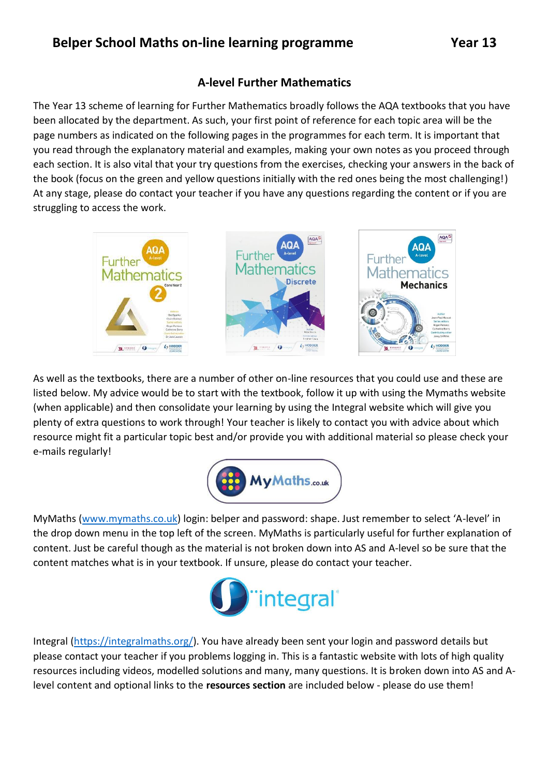## **A-level Further Mathematics**

The Year 13 scheme of learning for Further Mathematics broadly follows the AQA textbooks that you have been allocated by the department. As such, your first point of reference for each topic area will be the page numbers as indicated on the following pages in the programmes for each term. It is important that you read through the explanatory material and examples, making your own notes as you proceed through each section. It is also vital that your try questions from the exercises, checking your answers in the back of the book (focus on the green and yellow questions initially with the red ones being the most challenging!) At any stage, please do contact your teacher if you have any questions regarding the content or if you are struggling to access the work.



As well as the textbooks, there are a number of other on-line resources that you could use and these are listed below. My advice would be to start with the textbook, follow it up with using the Mymaths website (when applicable) and then consolidate your learning by using the Integral website which will give you plenty of extra questions to work through! Your teacher is likely to contact you with advice about which resource might fit a particular topic best and/or provide you with additional material so please check your e-mails regularly!



MyMaths [\(www.mymaths.co.uk\)](http://www.mymaths.co.uk/) login: belper and password: shape. Just remember to select 'A-level' in the drop down menu in the top left of the screen. MyMaths is particularly useful for further explanation of content. Just be careful though as the material is not broken down into AS and A-level so be sure that the content matches what is in your textbook. If unsure, please do contact your teacher.



Integral [\(https://integralmaths.org/\)](https://integralmaths.org/). You have already been sent your login and password details but please contact your teacher if you problems logging in. This is a fantastic website with lots of high quality resources including videos, modelled solutions and many, many questions. It is broken down into AS and Alevel content and optional links to the **resources section** are included below - please do use them!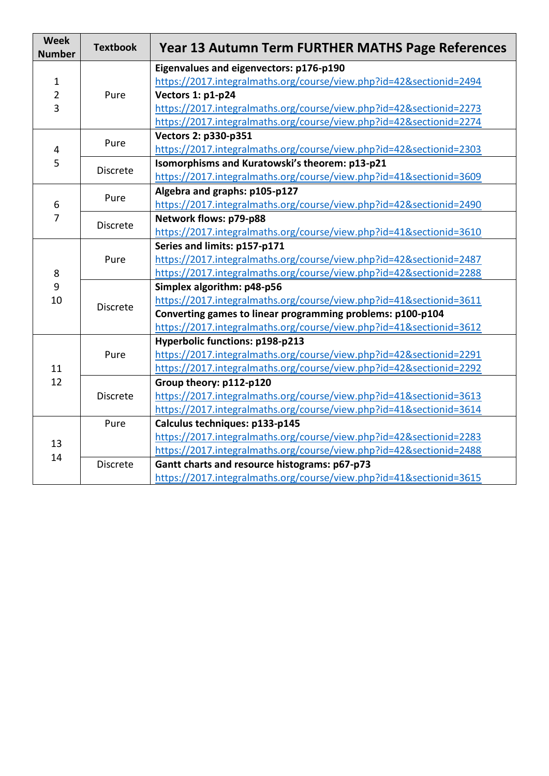| <b>Week</b><br><b>Number</b>        | <b>Textbook</b> | Year 13 Autumn Term FURTHER MATHS Page References                   |
|-------------------------------------|-----------------|---------------------------------------------------------------------|
| $\mathbf{1}$<br>$\overline{2}$<br>3 | Pure            | Eigenvalues and eigenvectors: p176-p190                             |
|                                     |                 | https://2017.integralmaths.org/course/view.php?id=42&sectionid=2494 |
|                                     |                 | Vectors 1: p1-p24                                                   |
|                                     |                 | https://2017.integralmaths.org/course/view.php?id=42&sectionid=2273 |
|                                     |                 | https://2017.integralmaths.org/course/view.php?id=42&sectionid=2274 |
| 4<br>5                              | Pure            | Vectors 2: p330-p351                                                |
|                                     |                 | https://2017.integralmaths.org/course/view.php?id=42&sectionid=2303 |
|                                     | <b>Discrete</b> | Isomorphisms and Kuratowski's theorem: p13-p21                      |
|                                     |                 | https://2017.integralmaths.org/course/view.php?id=41&sectionid=3609 |
| 6                                   | Pure            | Algebra and graphs: p105-p127                                       |
|                                     |                 | https://2017.integralmaths.org/course/view.php?id=42&sectionid=2490 |
| $\overline{7}$                      | <b>Discrete</b> | Network flows: p79-p88                                              |
|                                     |                 | https://2017.integralmaths.org/course/view.php?id=41&sectionid=3610 |
|                                     | Pure            | Series and limits: p157-p171                                        |
|                                     |                 | https://2017.integralmaths.org/course/view.php?id=42&sectionid=2487 |
| 8                                   |                 | https://2017.integralmaths.org/course/view.php?id=42&sectionid=2288 |
| 9                                   | <b>Discrete</b> | Simplex algorithm: p48-p56                                          |
| 10                                  |                 | https://2017.integralmaths.org/course/view.php?id=41&sectionid=3611 |
|                                     |                 | Converting games to linear programming problems: p100-p104          |
|                                     |                 | https://2017.integralmaths.org/course/view.php?id=41&sectionid=3612 |
| 11<br>12                            | Pure            | Hyperbolic functions: p198-p213                                     |
|                                     |                 | https://2017.integralmaths.org/course/view.php?id=42&sectionid=2291 |
|                                     |                 | https://2017.integralmaths.org/course/view.php?id=42&sectionid=2292 |
|                                     |                 | Group theory: p112-p120                                             |
|                                     | <b>Discrete</b> | https://2017.integralmaths.org/course/view.php?id=41&sectionid=3613 |
|                                     |                 | https://2017.integralmaths.org/course/view.php?id=41&sectionid=3614 |
| 13<br>14                            | Pure            | Calculus techniques: p133-p145                                      |
|                                     |                 | https://2017.integralmaths.org/course/view.php?id=42&sectionid=2283 |
|                                     |                 | https://2017.integralmaths.org/course/view.php?id=42&sectionid=2488 |
|                                     | <b>Discrete</b> | Gantt charts and resource histograms: p67-p73                       |
|                                     |                 | https://2017.integralmaths.org/course/view.php?id=41&sectionid=3615 |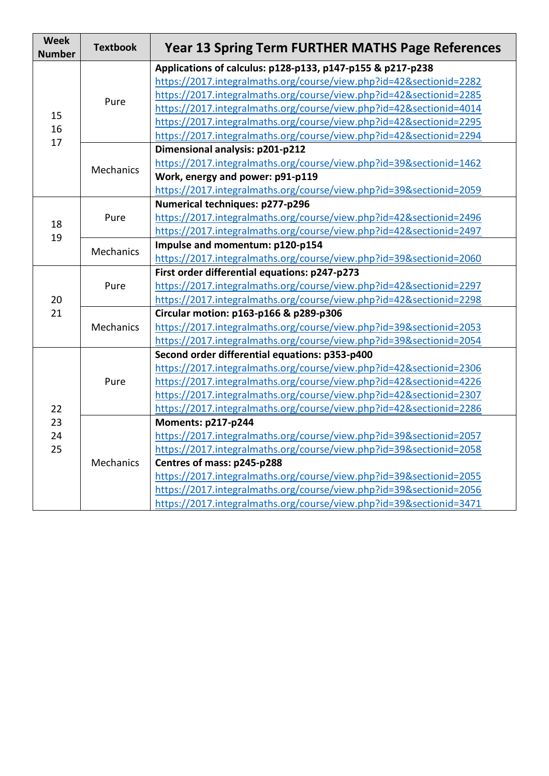| <b>Week</b><br><b>Number</b> | <b>Textbook</b>  | <b>Year 13 Spring Term FURTHER MATHS Page References</b>            |
|------------------------------|------------------|---------------------------------------------------------------------|
| 15<br>16<br>17               | Pure             | Applications of calculus: p128-p133, p147-p155 & p217-p238          |
|                              |                  | https://2017.integralmaths.org/course/view.php?id=42&sectionid=2282 |
|                              |                  | https://2017.integralmaths.org/course/view.php?id=42&sectionid=2285 |
|                              |                  | https://2017.integralmaths.org/course/view.php?id=42&sectionid=4014 |
|                              |                  | https://2017.integralmaths.org/course/view.php?id=42&sectionid=2295 |
|                              |                  | https://2017.integralmaths.org/course/view.php?id=42&sectionid=2294 |
|                              | Mechanics        | Dimensional analysis: p201-p212                                     |
|                              |                  | https://2017.integralmaths.org/course/view.php?id=39&sectionid=1462 |
|                              |                  | Work, energy and power: p91-p119                                    |
|                              |                  | https://2017.integralmaths.org/course/view.php?id=39&sectionid=2059 |
|                              | Pure             | Numerical techniques: p277-p296                                     |
|                              |                  | https://2017.integralmaths.org/course/view.php?id=42&sectionid=2496 |
| 18<br>19                     |                  | https://2017.integralmaths.org/course/view.php?id=42&sectionid=2497 |
|                              | <b>Mechanics</b> | Impulse and momentum: p120-p154                                     |
|                              |                  | https://2017.integralmaths.org/course/view.php?id=39&sectionid=2060 |
|                              | Pure             | First order differential equations: p247-p273                       |
|                              |                  | https://2017.integralmaths.org/course/view.php?id=42&sectionid=2297 |
| 20                           |                  | https://2017.integralmaths.org/course/view.php?id=42&sectionid=2298 |
| 21                           | Mechanics        | Circular motion: p163-p166 & p289-p306                              |
|                              |                  | https://2017.integralmaths.org/course/view.php?id=39&sectionid=2053 |
|                              |                  | https://2017.integralmaths.org/course/view.php?id=39&sectionid=2054 |
|                              | Pure             | Second order differential equations: p353-p400                      |
|                              |                  | https://2017.integralmaths.org/course/view.php?id=42&sectionid=2306 |
|                              |                  | https://2017.integralmaths.org/course/view.php?id=42&sectionid=4226 |
|                              |                  | https://2017.integralmaths.org/course/view.php?id=42&sectionid=2307 |
| 22<br>23<br>24<br>25         |                  | https://2017.integralmaths.org/course/view.php?id=42&sectionid=2286 |
|                              | <b>Mechanics</b> | Moments: p217-p244                                                  |
|                              |                  | https://2017.integralmaths.org/course/view.php?id=39&sectionid=2057 |
|                              |                  | https://2017.integralmaths.org/course/view.php?id=39&sectionid=2058 |
|                              |                  | Centres of mass: p245-p288                                          |
|                              |                  | https://2017.integralmaths.org/course/view.php?id=39&sectionid=2055 |
|                              |                  | https://2017.integralmaths.org/course/view.php?id=39&sectionid=2056 |
|                              |                  | https://2017.integralmaths.org/course/view.php?id=39&sectionid=3471 |